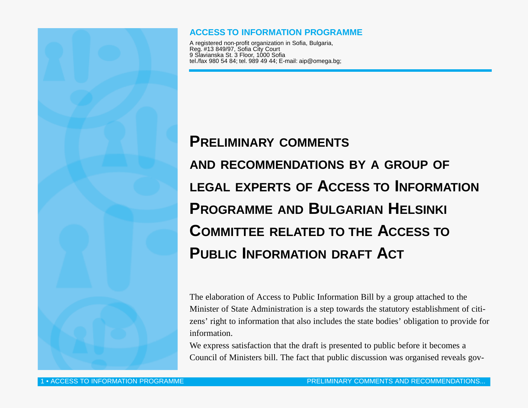

### **ACCESS TO INFORMATION PROGRAMME**

A registered non-profit organization in Sofia, Bulgaria, Reg. #13 849/97, Sofia City Court 9 Slavianska St. 3 Floor, 1000 Sofia tel./fax 980 54 84; tel. 989 49 44; E-mail: aip@omega.bg;

# **PRELIMINARY COMMENTS AND RECOMMENDATIONS BY A GROUP OF LEGAL EXPERTS OF ACCESS TO INFORMATION PROGRAMME AND BULGARIAN HELSINKI COMMITTEE RELATED TO THE ACCESS TO PUBLIC INFORMATION DRAFT ACT**

The elaboration of Access to Public Information Bill by a group attached to the Minister of State Administration is a step towards the statutory establishment of citizens' right to information that also includes the state bodies' obligation to provide for information.

We express satisfaction that the draft is presented to public before it becomes a Council of Ministers bill. The fact that public discussion was organised reveals gov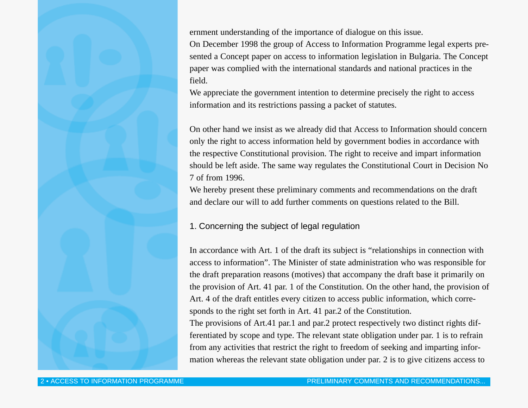ernment understanding of the importance of dialogue on this issue.

On December 1998 the group of Access to Information Programme legal experts presented a Concept paper on access to information legislation in Bulgaria. The Concept paper was complied with the international standards and national practices in the field.

We appreciate the government intention to determine precisely the right to access information and its restrictions passing a packet of statutes.

On other hand we insist as we already did that Access to Information should concern only the right to access information held by government bodies in accordance with the respective Constitutional provision. The right to receive and impart information should be left aside. The same way regulates the Constitutional Court in Decision No 7 of from 1996.

We hereby present these preliminary comments and recommendations on the draft and declare our will to add further comments on questions related to the Bill.

#### 1. Concerning the subject of legal regulation

In accordance with Art. 1 of the draft its subject is "relationships in connection with access to information". The Minister of state administration who was responsible for the draft preparation reasons (motives) that accompany the draft base it primarily on the provision of Art. 41 par. 1 of the Constitution. On the other hand, the provision of Art. 4 of the draft entitles every citizen to access public information, which corresponds to the right set forth in Art. 41 par.2 of the Constitution.

The provisions of Art.41 par.1 and par.2 protect respectively two distinct rights differentiated by scope and type. The relevant state obligation under par. 1 is to refrain from any activities that restrict the right to freedom of seeking and imparting information whereas the relevant state obligation under par. 2 is to give citizens access to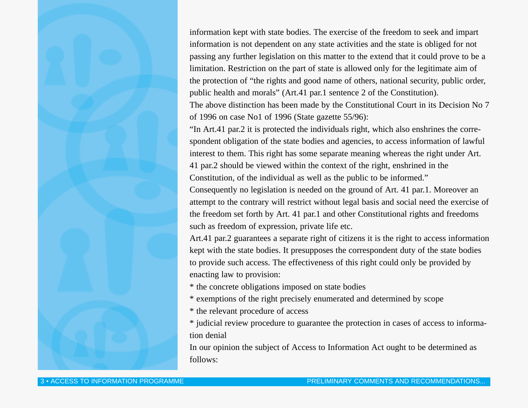information kept with state bodies. The exercise of the freedom to seek and impart information is not dependent on any state activities and the state is obliged for not passing any further legislation on this matter to the extend that it could prove to be a limitation. Restriction on the part of state is allowed only for the legitimate aim of the protection of "the rights and good name of others, national security, public order, public health and morals" (Art.41 par.1 sentence 2 of the Constitution).

The above distinction has been made by the Constitutional Court in its Decision No 7 of 1996 on case No1 of 1996 (State gazette 55/96):

"In Art.41 par.2 it is protected the individuals right, which also enshrines the correspondent obligation of the state bodies and agencies, to access information of lawful interest to them. This right has some separate meaning whereas the right under Art. 41 par.2 should be viewed within the context of the right, enshrined in the Constitution, of the individual as well as the public to be informed."

Consequently no legislation is needed on the ground of Art. 41 par.1. Moreover an attempt to the contrary will restrict without legal basis and social need the exercise of the freedom set forth by Art. 41 par.1 and other Constitutional rights and freedoms such as freedom of expression, private life etc.

Art.41 par.2 guarantees a separate right of citizens it is the right to access information kept with the state bodies. It presupposes the correspondent duty of the state bodies to provide such access. The effectiveness of this right could only be provided by enacting law to provision:

\* the concrete obligations imposed on state bodies

\* exemptions of the right precisely enumerated and determined by scope

\* the relevant procedure of access

\* judicial review procedure to guarantee the protection in cases of access to information denial

In our opinion the subject of Access to Information Act ought to be determined as follows: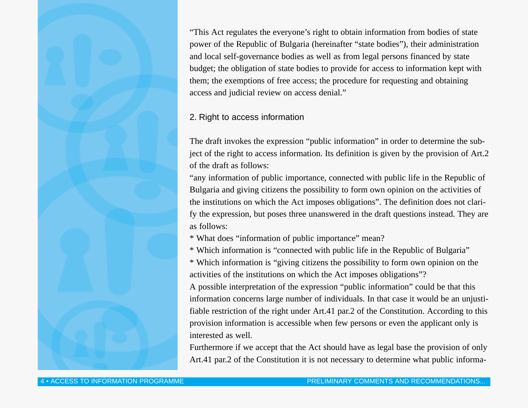"This Act regulates the everyone's right to obtain information from bodies of state power of the Republic of Bulgaria (hereinafter "state bodies"), their administration and local self-governance bodies as well as from legal persons financed by state budget; the obligation of state bodies to provide for access to information kept with them; the exemptions of free access; the procedure for requesting and obtaining access and judicial review on access denial."

#### 2. Right to access information

The draft invokes the expression "public information" in order to determine the subject of the right to access information. Its definition is given by the provision of Art.2 of the draft as follows:

"any information of public importance, connected with public life in the Republic of Bulgaria and giving citizens the possibility to form own opinion on the activities of the institutions on which the Act imposes obligations". The definition does not clarify the expression, but poses three unanswered in the draft questions instead. They are as follows:

\* What does "information of public importance" mean?

\* Which information is "connected with public life in the Republic of Bulgaria"

\* Which information is "giving citizens the possibility to form own opinion on the activities of the institutions on which the Act imposes obligations"?

A possible interpretation of the expression "public information" could be that this information concerns large number of individuals. In that case it would be an unjustifiable restriction of the right under Art.41 par.2 of the Constitution. According to this provision information is accessible when few persons or even the applicant only is interested as well.

Furthermore if we accept that the Act should have as legal base the provision of only Art.41 par.2 of the Constitution it is not necessary to determine what public informa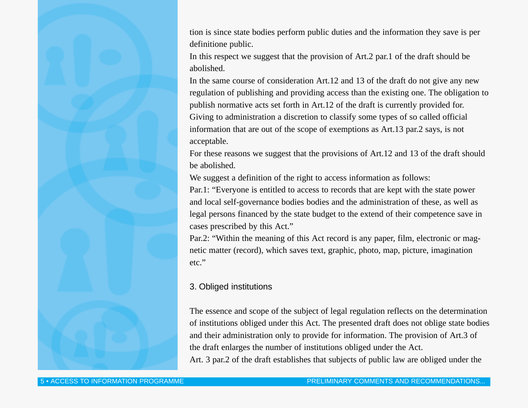tion is since state bodies perform public duties and the information they save is per definitione public.

In this respect we suggest that the provision of Art.2 par.1 of the draft should be abolished.

In the same course of consideration Art.12 and 13 of the draft do not give any new regulation of publishing and providing access than the existing one. The obligation to publish normative acts set forth in Art.12 of the draft is currently provided for. Giving to administration a discretion to classify some types of so called official information that are out of the scope of exemptions as Art.13 par.2 says, is not acceptable.

For these reasons we suggest that the provisions of Art.12 and 13 of the draft should be abolished.

We suggest a definition of the right to access information as follows:

Par.1: "Everyone is entitled to access to records that are kept with the state power and local self-governance bodies bodies and the administration of these, as well as legal persons financed by the state budget to the extend of their competence save in cases prescribed by this Act."

Par.2: "Within the meaning of this Act record is any paper, film, electronic or magnetic matter (record), which saves text, graphic, photo, map, picture, imagination etc."

## 3. Obliged institutions

The essence and scope of the subject of legal regulation reflects on the determination of institutions obliged under this Act. The presented draft does not oblige state bodies and their administration only to provide for information. The provision of Art.3 of the draft enlarges the number of institutions obliged under the Act. Art. 3 par.2 of the draft establishes that subjects of public law are obliged under the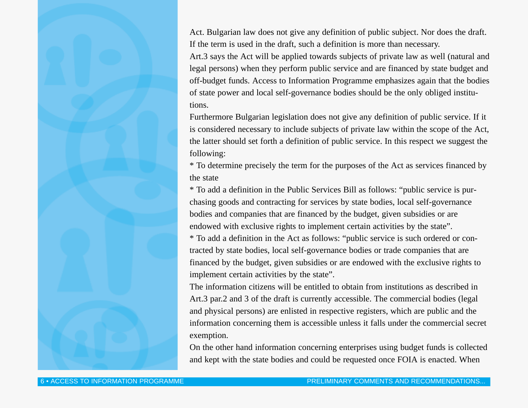Act. Bulgarian law does not give any definition of public subject. Nor does the draft. If the term is used in the draft, such a definition is more than necessary.

Art.3 says the Act will be applied towards subjects of private law as well (natural and legal persons) when they perform public service and are financed by state budget and off-budget funds. Access to Information Programme emphasizes again that the bodies of state power and local self-governance bodies should be the only obliged institutions.

Furthermore Bulgarian legislation does not give any definition of public service. If it is considered necessary to include subjects of private law within the scope of the Act, the latter should set forth a definition of public service. In this respect we suggest the following:

\* To determine precisely the term for the purposes of the Act as services financed by the state

\* To add a definition in the Public Services Bill as follows: "public service is purchasing goods and contracting for services by state bodies, local self-governance bodies and companies that are financed by the budget, given subsidies or are endowed with exclusive rights to implement certain activities by the state".

\* To add a definition in the Act as follows: "public service is such ordered or contracted by state bodies, local self-governance bodies or trade companies that are financed by the budget, given subsidies or are endowed with the exclusive rights to implement certain activities by the state".

The information citizens will be entitled to obtain from institutions as described in Art.3 par.2 and 3 of the draft is currently accessible. The commercial bodies (legal and physical persons) are enlisted in respective registers, which are public and the information concerning them is accessible unless it falls under the commercial secret exemption.

On the other hand information concerning enterprises using budget funds is collected and kept with the state bodies and could be requested once FOIA is enacted. When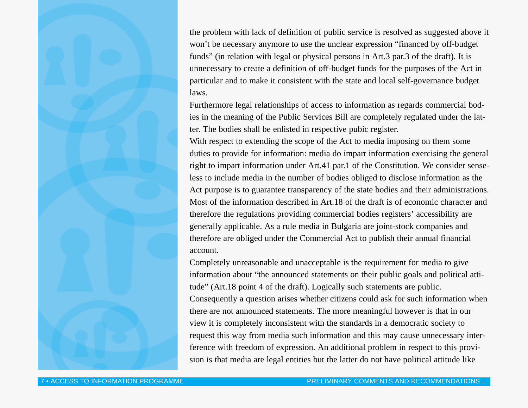the problem with lack of definition of public service is resolved as suggested above it won't be necessary anymore to use the unclear expression "financed by off-budget funds" (in relation with legal or physical persons in Art.3 par.3 of the draft). It is unnecessary to create a definition of off-budget funds for the purposes of the Act in particular and to make it consistent with the state and local self-governance budget laws.

Furthermore legal relationships of access to information as regards commercial bodies in the meaning of the Public Services Bill are completely regulated under the latter. The bodies shall be enlisted in respective pubic register.

With respect to extending the scope of the Act to media imposing on them some duties to provide for information: media do impart information exercising the general right to impart information under Art.41 par.1 of the Constitution. We consider senseless to include media in the number of bodies obliged to disclose information as the Act purpose is to guarantee transparency of the state bodies and their administrations. Most of the information described in Art.18 of the draft is of economic character and therefore the regulations providing commercial bodies registers' accessibility are generally applicable. As a rule media in Bulgaria are joint-stock companies and therefore are obliged under the Commercial Act to publish their annual financial account.

Completely unreasonable and unacceptable is the requirement for media to give information about "the announced statements on their public goals and political attitude" (Art.18 point 4 of the draft). Logically such statements are public. Consequently a question arises whether citizens could ask for such information when there are not announced statements. The more meaningful however is that in our view it is completely inconsistent with the standards in a democratic society to request this way from media such information and this may cause unnecessary interference with freedom of expression. An additional problem in respect to this provision is that media are legal entities but the latter do not have political attitude like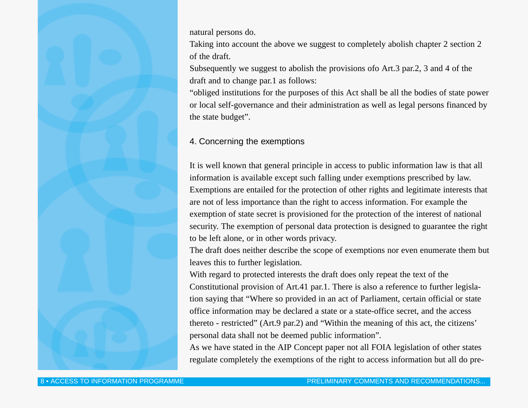natural persons do.

Taking into account the above we suggest to completely abolish chapter 2 section 2 of the draft.

Subsequently we suggest to abolish the provisions ofo Art.3 par.2, 3 and 4 of the draft and to change par.1 as follows:

"obliged institutions for the purposes of this Act shall be all the bodies of state power or local self-governance and their administration as well as legal persons financed by the state budget".

## 4. Concerning the exemptions

It is well known that general principle in access to public information law is that all information is available except such falling under exemptions prescribed by law. Exemptions are entailed for the protection of other rights and legitimate interests that are not of less importance than the right to access information. For example the exemption of state secret is provisioned for the protection of the interest of national security. The exemption of personal data protection is designed to guarantee the right to be left alone, or in other words privacy.

The draft does neither describe the scope of exemptions nor even enumerate them but leaves this to further legislation.

With regard to protected interests the draft does only repeat the text of the Constitutional provision of Art.41 par.1. There is also a reference to further legislation saying that "Where so provided in an act of Parliament, certain official or state office information may be declared a state or a state-office secret, and the access thereto - restricted" (Art.9 par.2) and "Within the meaning of this act, the citizens' personal data shall not be deemed public information".

As we have stated in the AIP Concept paper not all FOIA legislation of other states regulate completely the exemptions of the right to access information but all do pre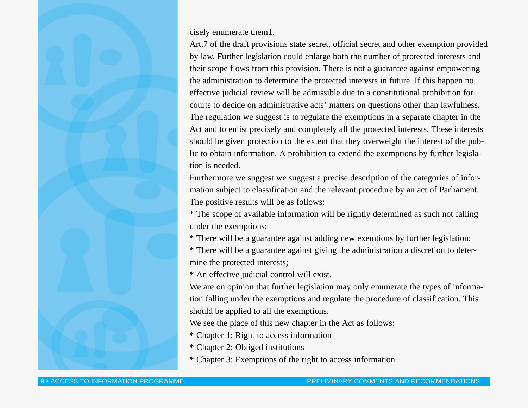cisely enumerate them1.

Art.7 of the draft provisions state secret, official secret and other exemption provided by law. Further legislation could enlarge both the number of protected interests and their scope flows from this provision. There is not a guarantee against empowering the administration to determine the protected interests in future. If this happen no effective judicial review will be admissible due to a constitutional prohibition for courts to decide on administrative acts' matters on questions other than lawfulness. The regulation we suggest is to regulate the exemptions in a separate chapter in the Act and to enlist precisely and completely all the protected interests. These interests should be given protection to the extent that they overweight the interest of the public to obtain information. A prohibition to extend the exemptions by further legislation is needed.

Furthermore we suggest we suggest a precise description of the categories of information subject to classification and the relevant procedure by an act of Parliament. The positive results will be as follows:

\* The scope of available information will be rightly determined as such not falling under the exemptions;

\* There will be a guarantee against adding new exemtions by further legislation;

\* There will be a guarantee against giving the administration a discretion to determine the protected interests;

\* An effective judicial control will exist.

We are on opinion that further legislation may only enumerate the types of information falling under the exemptions and regulate the procedure of classification. This should be applied to all the exemptions.

We see the place of this new chapter in the Act as follows:

\* Chapter 1: Right to access information

\* Chapter 2: Obliged institutions

\* Chapter 3: Exemptions of the right to access information